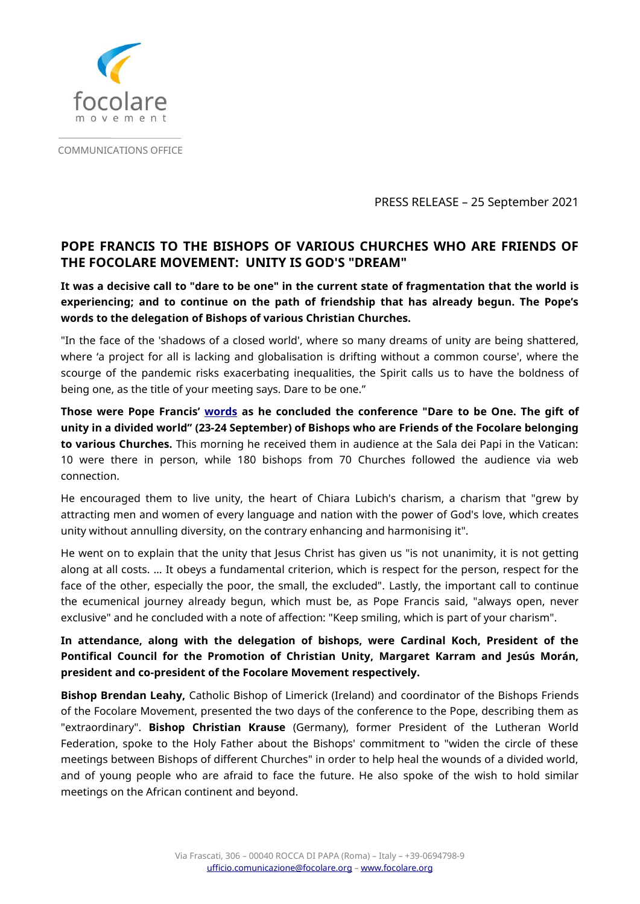

COMMUNICATIONS OFFICE

PRESS RELEASE – 25 September 2021

## **POPE FRANCIS TO THE BISHOPS OF VARIOUS CHURCHES WHO ARE FRIENDS OF THE FOCOLARE MOVEMENT: UNITY IS GOD'S "DREAM"**

**It was a decisive call to "dare to be one" in the current state of fragmentation that the world is experiencing; and to continue on the path of friendship that has already begun. The Pope's words to the delegation of Bishops of various Christian Churches.**

"In the face of the 'shadows of a closed world', where so many dreams of unity are being shattered, where 'a project for all is lacking and globalisation is drifting without a common course', where the scourge of the pandemic risks exacerbating inequalities, the Spirit calls us to have the boldness of being one, as the title of your meeting says. Dare to be one."

**Those were Pope Francis' [words](https://www.vatican.va/content/francesco/en/speeches/2021/september/documents/20210925-vescovi-amicifocolari.html) as he concluded the conference "Dare to be One. The gift of unity in a divided world" (23-24 September) of Bishops who are Friends of the Focolare belonging to various Churches.** This morning he received them in audience at the Sala dei Papi in the Vatican: 10 were there in person, while 180 bishops from 70 Churches followed the audience via web connection.

He encouraged them to live unity, the heart of Chiara Lubich's charism, a charism that "grew by attracting men and women of every language and nation with the power of God's love, which creates unity without annulling diversity, on the contrary enhancing and harmonising it".

He went on to explain that the unity that Jesus Christ has given us "is not unanimity, it is not getting along at all costs. … It obeys a fundamental criterion, which is respect for the person, respect for the face of the other, especially the poor, the small, the excluded". Lastly, the important call to continue the ecumenical journey already begun, which must be, as Pope Francis said, "always open, never exclusive" and he concluded with a note of affection: "Keep smiling, which is part of your charism".

## **In attendance, along with the delegation of bishops, were Cardinal Koch, President of the Pontifical Council for the Promotion of Christian Unity, Margaret Karram and Jesús Morán, president and co-president of the Focolare Movement respectively.**

**Bishop Brendan Leahy,** Catholic Bishop of Limerick (Ireland) and coordinator of the Bishops Friends of the Focolare Movement, presented the two days of the conference to the Pope, describing them as "extraordinary". **Bishop Christian Krause** (Germany), former President of the Lutheran World Federation, spoke to the Holy Father about the Bishops' commitment to "widen the circle of these meetings between Bishops of different Churches" in order to help heal the wounds of a divided world, and of young people who are afraid to face the future. He also spoke of the wish to hold similar meetings on the African continent and beyond.